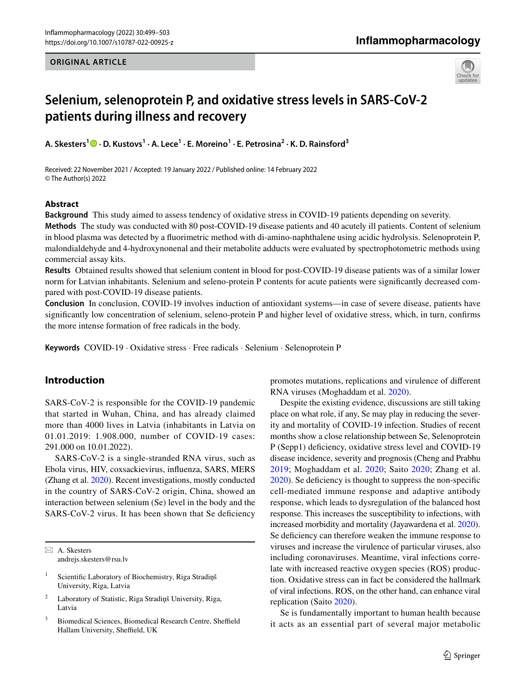#### **ORIGINAL ARTICLE**

## Inflammopharmacology



# **Selenium, selenoprotein P, and oxidative stress levels in SARS‑CoV‑2 patients during illness and recovery**

**A. Skesters1 · D. Kustovs<sup>1</sup> · A. Lece<sup>1</sup> · E. Moreino1 · E. Petrosina<sup>2</sup> · K. D. Rainsford<sup>3</sup>**

Received: 22 November 2021 / Accepted: 19 January 2022 / Published online: 14 February 2022 © The Author(s) 2022

#### **Abstract**

**Background** This study aimed to assess tendency of oxidative stress in COVID-19 patients depending on severity.

**Methods** The study was conducted with 80 post-COVID-19 disease patients and 40 acutely ill patients. Content of selenium in blood plasma was detected by a fuorimetric method with di-amino-naphthalene using acidic hydrolysis. Selenoprotein P, malondialdehyde and 4-hydroxynonenal and their metabolite adducts were evaluated by spectrophotometric methods using commercial assay kits.

**Results** Obtained results showed that selenium content in blood for post-COVID-19 disease patients was of a similar lower norm for Latvian inhabitants. Selenium and seleno-protein P contents for acute patients were signifcantly decreased compared with post-COVID-19 disease patients.

**Conclusion** In conclusion, COVID-19 involves induction of antioxidant systems—in case of severe disease, patients have signifcantly low concentration of selenium, seleno-protein P and higher level of oxidative stress, which, in turn, confrms the more intense formation of free radicals in the body.

**Keywords** COVID-19 · Oxidative stress · Free radicals · Selenium · Selenoprotein P

## **Introduction**

SARS-CoV-2 is responsible for the COVID-19 pandemic that started in Wuhan, China, and has already claimed more than 4000 lives in Latvia (inhabitants in Latvia on 01.01.2019: 1.908.000, number of COVID-19 cases: 291.000 on 10.01.2022).

SARS-CoV-2 is a single-stranded RNA virus, such as Ebola virus, HIV, coxsackievirus, infuenza, SARS, MERS (Zhang et al. [2020\)](#page-4-0). Recent investigations, mostly conducted in the country of SARS-CoV-2 origin, China, showed an interaction between selenium (Se) level in the body and the SARS-CoV-2 virus. It has been shown that Se deficiency

 $\boxtimes$  A. Skesters andrejs.skesters@rsu.lv

- <sup>1</sup> Scientific Laboratory of Biochemistry, Riga Stradiņš University, Riga, Latvia
- <sup>2</sup> Laboratory of Statistic, Riga Stradiņš University, Riga, Latvia
- <sup>3</sup> Biomedical Sciences, Biomedical Research Centre, Sheffield Hallam University, Sheffield, UK

promotes mutations, replications and virulence of diferent RNA viruses (Moghaddam et al. [2020\)](#page-4-1).

Despite the existing evidence, discussions are still taking place on what role, if any, Se may play in reducing the severity and mortality of COVID-19 infection. Studies of recent months show a close relationship between Se, Selenoprotein P (Sepp1) deficiency, oxidative stress level and COVID-19 disease incidence, severity and prognosis (Cheng and Prabhu [2019;](#page-3-0) Moghaddam et al. [2020;](#page-4-1) Saito [2020;](#page-4-2) Zhang et al. [2020](#page-4-0)). Se defciency is thought to suppress the non-specifc cell-mediated immune response and adaptive antibody response, which leads to dysregulation of the balanced host response. This increases the susceptibility to infections, with increased morbidity and mortality (Jayawardena et al. [2020](#page-3-1)). Se deficiency can therefore weaken the immune response to viruses and increase the virulence of particular viruses, also including coronaviruses. Meantime, viral infections correlate with increased reactive oxygen species (ROS) production. Oxidative stress can in fact be considered the hallmark of viral infections. ROS, on the other hand, can enhance viral replication (Saito [2020\)](#page-4-2).

Se is fundamentally important to human health because it acts as an essential part of several major metabolic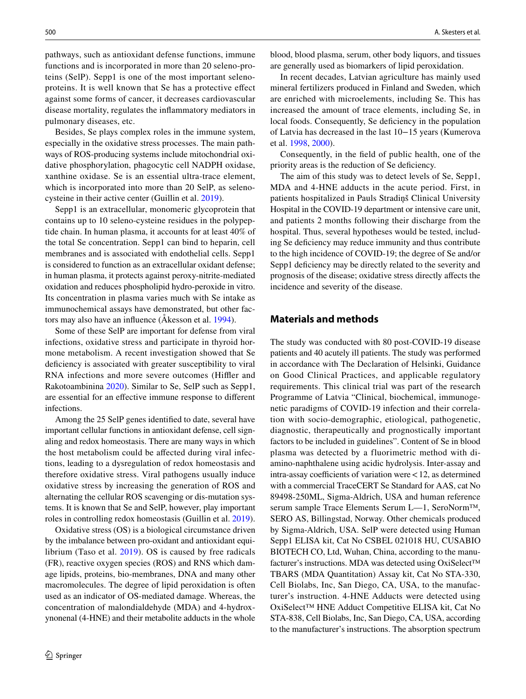pathways, such as antioxidant defense functions, immune functions and is incorporated in more than 20 seleno-proteins (SelP). Sepp1 is one of the most important selenoproteins. It is well known that Se has a protective efect against some forms of cancer, it decreases cardiovascular disease mortality, regulates the infammatory mediators in pulmonary diseases, etc.

Besides, Se plays complex roles in the immune system, especially in the oxidative stress processes. The main pathways of ROS-producing systems include mitochondrial oxidative phosphorylation, phagocytic cell NADPH oxidase, xanthine oxidase. Se is an essential ultra-trace element, which is incorporated into more than 20 SelP, as selenocysteine in their active center (Guillin et al. [2019\)](#page-3-2).

Sepp1 is an extracellular, monomeric glycoprotein that contains up to 10 seleno-cysteine residues in the polypeptide chain. In human plasma, it accounts for at least 40% of the total Se concentration. Sepp1 can bind to heparin, cell membranes and is associated with endothelial cells. Sepp1 is considered to function as an extracellular oxidant defense; in human plasma, it protects against peroxy-nitrite-mediated oxidation and reduces phospholipid hydro-peroxide in vitro. Its concentration in plasma varies much with Se intake as immunochemical assays have demonstrated, but other factors may also have an infuence (Åkesson et al. [1994\)](#page-3-3).

Some of these SelP are important for defense from viral infections, oxidative stress and participate in thyroid hormone metabolism. A recent investigation showed that Se deficiency is associated with greater susceptibility to viral RNA infections and more severe outcomes (Hiffler and Rakotoambinina [2020](#page-3-4)). Similar to Se, SelP such as Sepp1, are essential for an efective immune response to diferent infections.

Among the 25 SelP genes identifed to date, several have important cellular functions in antioxidant defense, cell signaling and redox homeostasis. There are many ways in which the host metabolism could be afected during viral infections, leading to a dysregulation of redox homeostasis and therefore oxidative stress. Viral pathogens usually induce oxidative stress by increasing the generation of ROS and alternating the cellular ROS scavenging or dis-mutation systems. It is known that Se and SelP, however, play important roles in controlling redox homeostasis (Guillin et al. [2019](#page-3-2)).

Oxidative stress (OS) is a biological circumstance driven by the imbalance between pro-oxidant and antioxidant equilibrium (Taso et al. [2019\)](#page-4-3). OS is caused by free radicals (FR), reactive oxygen species (ROS) and RNS which damage lipids, proteins, bio-membranes, DNA and many other macromolecules. The degree of lipid peroxidation is often used as an indicator of OS-mediated damage. Whereas, the concentration of malondialdehyde (MDA) and 4-hydroxynonenal (4-HNE) and their metabolite adducts in the whole blood, blood plasma, serum, other body liquors, and tissues are generally used as biomarkers of lipid peroxidation.

In recent decades, Latvian agriculture has mainly used mineral fertilizers produced in Finland and Sweden, which are enriched with microelements, including Se. This has increased the amount of trace elements, including Se, in local foods. Consequently, Se deficiency in the population of Latvia has decreased in the last 10−15 years (Kumerova et al. [1998](#page-3-5), [2000](#page-3-5)).

Consequently, in the feld of public health, one of the priority areas is the reduction of Se defciency.

The aim of this study was to detect levels of Se, Sepp1, MDA and 4-HNE adducts in the acute period. First, in patients hospitalized in Pauls Stradiņš Clinical University Hospital in the COVID-19 department or intensive care unit, and patients 2 months following their discharge from the hospital. Thus, several hypotheses would be tested, including Se defciency may reduce immunity and thus contribute to the high incidence of COVID-19; the degree of Se and/or Sepp1 deficiency may be directly related to the severity and prognosis of the disease; oxidative stress directly afects the incidence and severity of the disease.

#### **Materials and methods**

The study was conducted with 80 post-COVID-19 disease patients and 40 acutely ill patients. The study was performed in accordance with The Declaration of Helsinki, Guidance on Good Clinical Practices, and applicable regulatory requirements. This clinical trial was part of the research Programme of Latvia "Clinical, biochemical, immunogenetic paradigms of COVID-19 infection and their correlation with socio-demographic, etiological, pathogenetic, diagnostic, therapeutically and prognostically important factors to be included in guidelines". Content of Se in blood plasma was detected by a fluorimetric method with diamino-naphthalene using acidic hydrolysis. Inter-assay and  $intra-assay coefficients of variation were < 12$ , as determined with a commercial TraceCERT Se Standard for AAS, cat No 89498-250ML, Sigma-Aldrich, USA and human reference serum sample Trace Elements Serum L—1, SeroNorm™, SERO AS, Billingstad, Norway. Other chemicals produced by Sigma-Aldrich, USA. SelP were detected using Human Sepp1 ELISA kit, Cat No CSBEL 021018 HU, CUSABIO BIOTECH CO, Ltd, Wuhan, China, according to the manufacturer's instructions. MDA was detected using OxiSelect™ TBARS (MDA Quantitation) Assay kit, Cat No STA-330, Cell Biolabs, Inc, San Diego, CA, USA, to the manufacturer's instruction. 4-HNE Adducts were detected using OxiSelect™ HNE Adduct Competitive ELISA kit, Cat No STA-838, Cell Biolabs, Inc, San Diego, CA, USA, according to the manufacturer's instructions. The absorption spectrum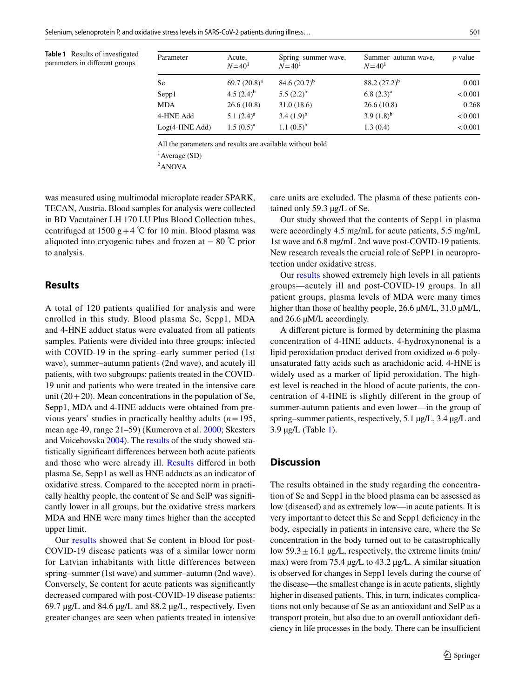<span id="page-2-1"></span>**Table 1** Results of investigated parameters in diferent groups

| Parameter        | Acute,<br>$N = 401$ | Spring-summer wave,<br>$N = 40^1$ | Summer-autumn wave,<br>$N = 40^1$ | $p$ value |
|------------------|---------------------|-----------------------------------|-----------------------------------|-----------|
| <b>Se</b>        | 69.7 $(20.8)^a$     | 84.6 $(20.7)^{b}$                 | $88.2(27.2)^b$                    | 0.001     |
| Sepp1            | 4.5 $(2.4)^{b}$     | 5.5 $(2.2)^{b}$                   | $6.8(2.3)^{a}$                    | < 0.001   |
| <b>MDA</b>       | 26.6(10.8)          | 31.0(18.6)                        | 26.6(10.8)                        | 0.268     |
| 4-HNE Add        | 5.1 $(2.4)^a$       | $3.4(1.9)^{b}$                    | 3.9 $(1.8)^{b}$                   | < 0.001   |
| $Log(4-HNE Add)$ | $1.5(0.5)^{a}$      | $1.1(0.5)^{b}$                    | 1.3(0.4)                          | < 0.001   |

All the parameters and results are available without bold

1 Average (SD)

<sup>2</sup>ANOVA

was measured using multimodal microplate reader SPARK, TECAN, Austria. Blood samples for analysis were collected in BD Vacutainer LH 170 I.U Plus Blood Collection tubes, centrifuged at 1500 g + 4 °C for 10 min. Blood plasma was aliquoted into cryogenic tubes and frozen at  $-80$  °C prior to analysis.

## <span id="page-2-0"></span>**Results**

A total of 120 patients qualified for analysis and were enrolled in this study. Blood plasma Se, Sepp1, MDA and 4-HNE adduct status were evaluated from all patients samples. Patients were divided into three groups: infected with COVID-19 in the spring–early summer period (1st wave), summer–autumn patients (2nd wave), and acutely ill patients, with two subgroups: patients treated in the COVID-19 unit and patients who were treated in the intensive care unit  $(20+20)$ . Mean concentrations in the population of Se, Sepp1, MDA and 4-HNE adducts were obtained from previous years' studies in practically healthy adults (*n*=195, mean age 49, range 21–59) (Kumerova et al. [2000;](#page-3-5) Skesters and Voicehovska [2004](#page-4-4)). The [results](#page-2-0) of the study showed statistically signifcant diferences between both acute patients and those who were already ill. [Results](#page-2-0) difered in both plasma Se, Sepp1 as well as HNE adducts as an indicator of oxidative stress. Compared to the accepted norm in practically healthy people, the content of Se and SelP was signifcantly lower in all groups, but the oxidative stress markers MDA and HNE were many times higher than the accepted upper limit.

Our [results](#page-2-0) showed that Se content in blood for post-COVID-19 disease patients was of a similar lower norm for Latvian inhabitants with little differences between spring–summer (1st wave) and summer–autumn (2nd wave). Conversely, Se content for acute patients was signifcantly decreased compared with post-COVID-19 disease patients: 69.7 µg/L and 84.6 µg/L and 88.2 µg/L, respectively. Even greater changes are seen when patients treated in intensive

care units are excluded. The plasma of these patients contained only 59.3 µg/L of Se.

Our study showed that the contents of Sepp1 in plasma were accordingly 4.5 mg/mL for acute patients, 5.5 mg/mL 1st wave and 6.8 mg/mL 2nd wave post-COVID-19 patients. New research reveals the crucial role of SePP1 in neuroprotection under oxidative stress.

Our [results](#page-2-0) showed extremely high levels in all patients groups—acutely ill and post-COVID-19 groups. In all patient groups, plasma levels of MDA were many times higher than those of healthy people, 26.6  $\mu$ M/L, 31.0  $\mu$ M/L, and 26.6 µM/L accordingly.

A diferent picture is formed by determining the plasma concentration of 4-HNE adducts. 4-hydroxynonenal is a lipid peroxidation product derived from oxidized ω-6 polyunsaturated fatty acids such as arachidonic acid. 4-HNE is widely used as a marker of lipid peroxidation. The highest level is reached in the blood of acute patients, the concentration of 4-HNE is slightly diferent in the group of summer-autumn patients and even lower—in the group of spring–summer patients, respectively, 5.1 µg/L, 3.4 µg/L and 3.9 µg/L (Table [1](#page-2-1)).

## **Discussion**

The results obtained in the study regarding the concentration of Se and Sepp1 in the blood plasma can be assessed as low (diseased) and as extremely low—in acute patients. It is very important to detect this Se and Sepp1 defciency in the body, especially in patients in intensive care, where the Se concentration in the body turned out to be catastrophically low  $59.3 \pm 16.1$   $\mu$ g/L, respectively, the extreme limits (min/ max) were from 75.4 µg*/*L to 43.2 µg*/*L. A similar situation is observed for changes in Sepp1 levels during the course of the disease—the smallest change is in acute patients, slightly higher in diseased patients. This, in turn, indicates complications not only because of Se as an antioxidant and SelP as a transport protein, but also due to an overall antioxidant defciency in life processes in the body. There can be insufficient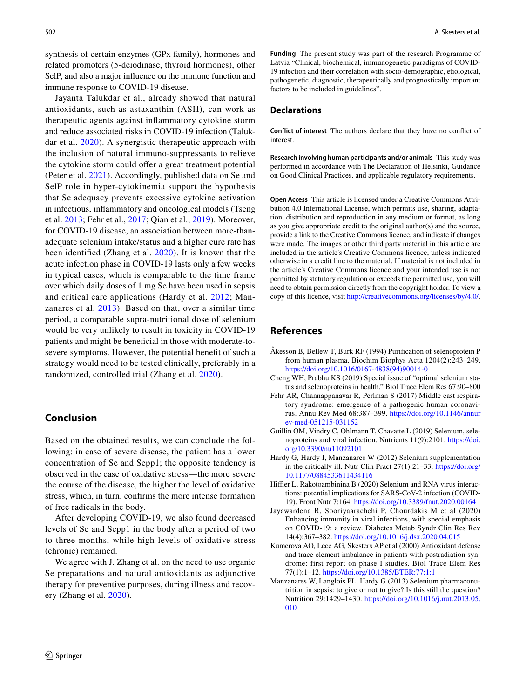synthesis of certain enzymes (GPx family), hormones and related promoters (5-deiodinase, thyroid hormones), other SelP, and also a major infuence on the immune function and immune response to COVID-19 disease.

Jayanta Talukdar et al., already showed that natural antioxidants, such as astaxanthin (ASH), can work as therapeutic agents against infammatory cytokine storm and reduce associated risks in COVID-19 infection (Talukdar et al. [2020](#page-4-5)). A synergistic therapeutic approach with the inclusion of natural immuno-suppressants to relieve the cytokine storm could offer a great treatment potential (Peter et al. [2021](#page-4-6)). Accordingly, published data on Se and SelP role in hyper-cytokinemia support the hypothesis that Se adequacy prevents excessive cytokine activation in infectious, infammatory and oncological models (Tseng et al. [2013;](#page-4-7) Fehr et al., [2017;](#page-3-6) Qian et al., [2019](#page-4-8)). Moreover, for COVID-19 disease, an association between more-thanadequate selenium intake/status and a higher cure rate has been identifed (Zhang et al. [2020](#page-4-0)). It is known that the acute infection phase in COVID-19 lasts only a few weeks in typical cases, which is comparable to the time frame over which daily doses of 1 mg Se have been used in sepsis and critical care applications (Hardy et al. [2012](#page-3-7); Manzanares et al. [2013](#page-3-8)). Based on that, over a similar time period, a comparable supra-nutritional dose of selenium would be very unlikely to result in toxicity in COVID-19 patients and might be benefcial in those with moderate-tosevere symptoms. However, the potential beneft of such a strategy would need to be tested clinically, preferably in a randomized, controlled trial (Zhang et al. [2020](#page-4-0)).

### **Conclusion**

Based on the obtained results, we can conclude the following: in case of severe disease, the patient has a lower concentration of Se and Sepp1; the opposite tendency is observed in the case of oxidative stress—the more severe the course of the disease, the higher the level of oxidative stress, which, in turn, confrms the more intense formation of free radicals in the body.

After developing COVID-19, we also found decreased levels of Se and Sepp1 in the body after a period of two to three months, while high levels of oxidative stress (chronic) remained.

We agree with J. Zhang et al. on the need to use organic Se preparations and natural antioxidants as adjunctive therapy for preventive purposes, during illness and recovery (Zhang et al. [2020](#page-4-0)).

**Funding** The present study was part of the research Programme of Latvia "Clinical, biochemical, immunogenetic paradigms of COVID-19 infection and their correlation with socio-demographic, etiological, pathogenetic, diagnostic, therapeutically and prognostically important factors to be included in guidelines".

#### **Declarations**

**Conflict of interest** The authors declare that they have no confict of interest.

**Research involving human participants and/or animals** This study was performed in accordance with The Declaration of Helsinki, Guidance on Good Clinical Practices, and applicable regulatory requirements.

**Open Access** This article is licensed under a Creative Commons Attribution 4.0 International License, which permits use, sharing, adaptation, distribution and reproduction in any medium or format, as long as you give appropriate credit to the original author(s) and the source, provide a link to the Creative Commons licence, and indicate if changes were made. The images or other third party material in this article are included in the article's Creative Commons licence, unless indicated otherwise in a credit line to the material. If material is not included in the article's Creative Commons licence and your intended use is not permitted by statutory regulation or exceeds the permitted use, you will need to obtain permission directly from the copyright holder. To view a copy of this licence, visit<http://creativecommons.org/licenses/by/4.0/>.

### **References**

- <span id="page-3-3"></span>Åkesson B, Bellew T, Burk RF (1994) Purifcation of selenoprotein P from human plasma. Biochim Biophys Acta 1204(2):243–249. [https://doi.org/10.1016/0167-4838\(94\)90014-0](https://doi.org/10.1016/0167-4838(94)90014-0)
- <span id="page-3-0"></span>Cheng WH, Prabhu KS (2019) Special issue of "optimal selenium status and selenoproteins in health." Biol Trace Elem Res 67:90–800
- <span id="page-3-6"></span>Fehr AR, Channappanavar R, Perlman S (2017) Middle east respiratory syndrome: emergence of a pathogenic human coronavirus. Annu Rev Med 68:387–399. [https://doi.org/10.1146/annur](https://doi.org/10.1146/annurev-med-051215-031152) [ev-med-051215-031152](https://doi.org/10.1146/annurev-med-051215-031152)
- <span id="page-3-2"></span>Guillin OM, Vindry C, Ohlmann T, Chavatte L (2019) Selenium, selenoproteins and viral infection. Nutrients 11(9):2101. [https://doi.](https://doi.org/10.3390/nu11092101) [org/10.3390/nu11092101](https://doi.org/10.3390/nu11092101)
- <span id="page-3-7"></span>Hardy G, Hardy I, Manzanares W (2012) Selenium supplementation in the critically ill. Nutr Clin Pract 27(1):21–33. [https://doi.org/](https://doi.org/10.1177/0884533611434116) [10.1177/0884533611434116](https://doi.org/10.1177/0884533611434116)
- <span id="page-3-4"></span>Hiffler L, Rakotoambinina B (2020) Selenium and RNA virus interactions: potential implications for SARS-CoV-2 infection (COVID-19). Front Nutr 7:164.<https://doi.org/10.3389/fnut.2020.00164>
- <span id="page-3-1"></span>Jayawardena R, Sooriyaarachchi P, Chourdakis M et al (2020) Enhancing immunity in viral infections, with special emphasis on COVID-19: a review. Diabetes Metab Syndr Clin Res Rev 14(4):367–382.<https://doi.org/10.1016/j.dsx.2020.04.015>
- <span id="page-3-5"></span>Kumerova AO, Lece AG, Skesters AP et al (2000) Antioxidant defense and trace element imbalance in patients with postradiation syndrome: first report on phase I studies. Biol Trace Elem Res 77(1):1–12. <https://doi.org/10.1385/BTER:77:1:1>
- <span id="page-3-8"></span>Manzanares W, Langlois PL, Hardy G (2013) Selenium pharmaconutrition in sepsis: to give or not to give? Is this still the question? Nutrition 29:1429–1430. [https://doi.org/10.1016/j.nut.2013.05.](https://doi.org/10.1016/j.nut.2013.05.010) [010](https://doi.org/10.1016/j.nut.2013.05.010)